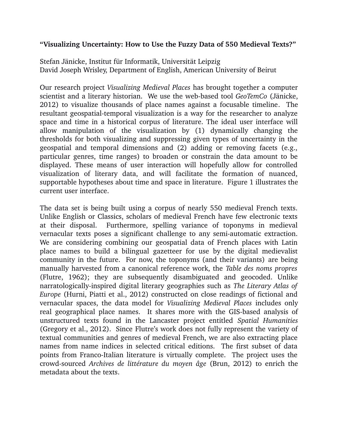## **"Visualizing Uncertainty: How to Use the Fuzzy Data of 550 Medieval Texts?"**

Stefan Jänicke, Institut für Informatik, Universität Leipzig David Joseph Wrisley, Department of English, American University of Beirut

Our research project *Visualizing Medieval Places* has brought together a computer scientist and a literary historian. We use the web-based tool *GeoTemCo* (Jänicke, 2012) to visualize thousands of place names against a focusable timeline. The resultant geospatial-temporal visualization is a way for the researcher to analyze space and time in a historical corpus of literature. The ideal user interface will allow manipulation of the visualization by (1) dynamically changing the thresholds for both visualizing and suppressing given types of uncertainty in the geospatial and temporal dimensions and (2) adding or removing facets (e.g., particular genres, time ranges) to broaden or constrain the data amount to be displayed. These means of user interaction will hopefully allow for controlled visualization of literary data, and will facilitate the formation of nuanced, supportable hypotheses about time and space in literature. Figure 1 illustrates the current user interface.

The data set is being built using a corpus of nearly 550 medieval French texts. Unlike English or Classics, scholars of medieval French have few electronic texts at their disposal. Furthermore, spelling variance of toponyms in medieval vernacular texts poses a significant challenge to any semi-automatic extraction. We are considering combining our geospatial data of French places with Latin place names to build a bilingual gazetteer for use by the digital medievalist community in the future. For now, the toponyms (and their variants) are being manually harvested from a canonical reference work, the *Table des noms propres* (Flutre, 1962); they are subsequently disambiguated and geocoded. Unlike narratologically-inspired digital literary geographies such as *The Literary Atlas of Europe* (Hurni, Piatti et al., 2012) constructed on close readings of fictional and vernacular spaces, the data model for *Visualizing Medieval Places* includes only real geographical place names. It shares more with the GIS-based analysis of unstructured texts found in the Lancaster project entitled *Spatial Humanities* (Gregory et al., 2012). Since Flutre's work does not fully represent the variety of textual communities and genres of medieval French, we are also extracting place names from name indices in selected critical editions. The first subset of data points from Franco-Italian literature is virtually complete. The project uses the crowd-sourced *Archives de littérature du moyen âge* (Brun, 2012) to enrich the metadata about the texts.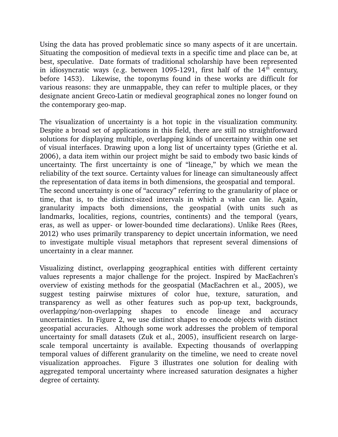Using the data has proved problematic since so many aspects of it are uncertain. Situating the composition of medieval texts in a specific time and place can be, at best, speculative. Date formats of traditional scholarship have been represented in idiosyncratic ways (e.g. between 1095-1291, first half of the  $14<sup>th</sup>$  century, before 1453). Likewise, the toponyms found in these works are difficult for various reasons: they are unmappable, they can refer to multiple places, or they designate ancient Greco-Latin or medieval geographical zones no longer found on the contemporary geo-map.

The visualization of uncertainty is a hot topic in the visualization community. Despite a broad set of applications in this field, there are still no straightforward solutions for displaying multiple, overlapping kinds of uncertainty within one set of visual interfaces. Drawing upon a long list of uncertainty types (Griethe et al. 2006), a data item within our project might be said to embody two basic kinds of uncertainty. The first uncertainty is one of "lineage," by which we mean the reliability of the text source. Certainty values for lineage can simultaneously affect the representation of data items in both dimensions, the geospatial and temporal. The second uncertainty is one of "accuracy" referring to the granularity of place or time, that is, to the distinct-sized intervals in which a value can lie. Again, granularity impacts both dimensions, the geospatial (with units such as landmarks, localities, regions, countries, continents) and the temporal (years, eras, as well as upper- or lower-bounded time declarations). Unlike Rees (Rees, 2012) who uses primarily transparency to depict uncertain information, we need to investigate multiple visual metaphors that represent several dimensions of uncertainty in a clear manner.

Visualizing distinct, overlapping geographical entities with different certainty values represents a major challenge for the project. Inspired by MacEachren's overview of existing methods for the geospatial (MacEachren et al., 2005), we suggest testing pairwise mixtures of color hue, texture, saturation, and transparency as well as other features such as pop-up text, backgrounds, overlapping/non-overlapping shapes to encode lineage and accuracy uncertainties. In Figure 2, we use distinct shapes to encode objects with distinct geospatial accuracies. Although some work addresses the problem of temporal uncertainty for small datasets (Zuk et al., 2005), insufficient research on largescale temporal uncertainty is available. Expecting thousands of overlapping temporal values of different granularity on the timeline, we need to create novel visualization approaches. Figure 3 illustrates one solution for dealing with aggregated temporal uncertainty where increased saturation designates a higher degree of certainty.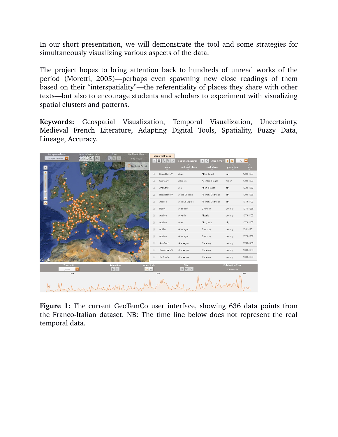In our short presentation, we will demonstrate the tool and some strategies for simultaneously visualizing various aspects of the data.

The project hopes to bring attention back to hundreds of unread works of the period (Moretti, 2005)—perhaps even spawning new close readings of them based on their "interspatiality"—the referentiality of places they share with other texts—but also to encourage students and scholars to experiment with visualizing spatial clusters and patterns.

**Keywords:** Geospatial Visualization, Temporal Visualization, Uncertainty, Medieval French Literature, Adapting Digital Tools, Spatiality, Fuzzy Data, Lineage, Accuracy.

| <b>Background map</b> | <b>Map selector tools</b> | <b>Filter</b>                        | <b>Medieval Places</b> |                                         | <b>Medieval Places</b>        |                       |                                               |                            |              |
|-----------------------|---------------------------|--------------------------------------|------------------------|-----------------------------------------|-------------------------------|-----------------------|-----------------------------------------------|----------------------------|--------------|
| Google Satellite      |                           | $\mathbb{Q}$<br>$Q^{-1}$<br>$\times$ | 636 results            | $\overline{\omega}$                     | $= 8$<br>$Q^{-1}$<br>$\times$ | 1-10 of 636 Results   | Page 1 of 64<br>1<br>$\overline{\phantom{a}}$ | 10 <sup>10</sup><br>><br>N | $\mathbf{v}$ |
| $\bullet$             |                           |                                      | Medieval Places        |                                         | work                          | medieval place        | real place                                    | place type                 | time         |
|                       |                           |                                      |                        | $\qquad \qquad \qquad \qquad \Box$      | BeuveHanstV                   | Acre                  | Akko; Israel                                  | city                       | 1200-1299    |
|                       |                           |                                      |                        | $\Box$                                  | GuiNant∨                      | Agenois               | Agenais; France                               | region                     | 1300-1399    |
|                       |                           |                                      |                        | $\Box$                                  | AnsCartP                      | Ais                   | Auch; France                                  | city                       | 1230-1250    |
|                       |                           |                                      |                        | $\Box$                                  | BeuveHanstV                   | Ais-la-Chapele        | Aachen; Germany                               | city                       | 1200-1299    |
| ↶                     |                           |                                      |                        | $\Box$                                  | Aquilon                       | Aise La Capele        | Aachen; Germany                               | city                       | 1379-1407    |
|                       |                           |                                      |                        | $\Box$                                  | RoM4                          | Alamaine              | Germany                                       | country                    | 1275-1299    |
|                       |                           |                                      |                        | $\Box$                                  | Aquilon                       | Albanie               | Albania                                       | country                    | 1379-1407    |
|                       |                           |                                      |                        | $\Box$                                  | Aquilon                       | Albe                  | Alba; Italy                                   | city                       | 1379-1407    |
|                       |                           |                                      |                        | $\Box$                                  | AntAn                         | Alemagne              | Germany                                       | country                    | 1241-1251    |
|                       |                           |                                      |                        | $\Box$                                  | Aquilon                       | Alemagne              | Germany                                       | country                    | 1379-1407    |
|                       |                           |                                      |                        | $\qquad \qquad \text{or} \qquad \qquad$ | AnsCartP                      | Alemagne              | Germany                                       | country                    | 1230-1250    |
|                       |                           |                                      |                        | $\Box$                                  | BeuveHanstV                   | Alemaigne             | Germany                                       | country                    | 1200-1299    |
| Google                |                           |                                      |                        | $\Box$                                  | GuiNantV                      | Alemaigne             | Germany                                       | country                    | 1300-1399    |
| Time unit:            |                           | <b>Animation</b>                     | <b>Value Scale</b>     |                                         |                               | <b>Filter</b>         |                                               | <b>Publication Year</b>    |              |
| years                 |                           | $>$   $\parallel$                    | $\ln$ $\log$           |                                         |                               | $Q$ $Q^{-1}$ $\times$ |                                               | 636 results                |              |
| 1200                  |                           |                                      |                        |                                         | 1300                          |                       |                                               |                            | 1400         |
|                       |                           |                                      |                        |                                         |                               |                       |                                               |                            |              |
|                       |                           |                                      |                        |                                         |                               |                       |                                               |                            |              |

Figure 1: The current GeoTemCo user interface, showing 636 data points from the Franco-Italian dataset. NB: The time line below does not represent the real temporal data.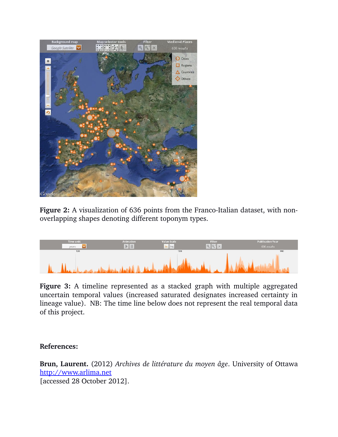

**Figure 2:** A visualization of 636 points from the Franco-Italian dataset, with nonoverlapping shapes denoting different toponym types.



**Figure 3:** A timeline represented as a stacked graph with multiple aggregated uncertain temporal values (increased saturated designates increased certainty in lineage value). NB: The time line below does not represent the real temporal data of this project.

## **References:**

**Brun, Laurent.** (2012) *Archives de littérature du moyen âge*. University of Ottawa [http://www.arlima.net](http://www.arlima.net/) [accessed 28 October 2012].